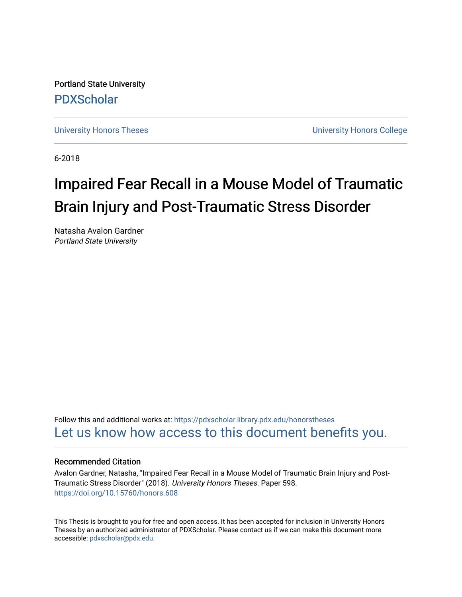Portland State University [PDXScholar](https://pdxscholar.library.pdx.edu/)

[University Honors Theses](https://pdxscholar.library.pdx.edu/honorstheses) [University Honors College](https://pdxscholar.library.pdx.edu/honors) 

6-2018

# Impaired Fear Recall in a Mouse Model of Traumatic Brain Injury and Post-Traumatic Stress Disorder

Natasha Avalon Gardner Portland State University

Follow this and additional works at: [https://pdxscholar.library.pdx.edu/honorstheses](https://pdxscholar.library.pdx.edu/honorstheses?utm_source=pdxscholar.library.pdx.edu%2Fhonorstheses%2F598&utm_medium=PDF&utm_campaign=PDFCoverPages)  [Let us know how access to this document benefits you.](http://library.pdx.edu/services/pdxscholar-services/pdxscholar-feedback/) 

# Recommended Citation

Avalon Gardner, Natasha, "Impaired Fear Recall in a Mouse Model of Traumatic Brain Injury and Post-Traumatic Stress Disorder" (2018). University Honors Theses. Paper 598. <https://doi.org/10.15760/honors.608>

This Thesis is brought to you for free and open access. It has been accepted for inclusion in University Honors Theses by an authorized administrator of PDXScholar. Please contact us if we can make this document more accessible: [pdxscholar@pdx.edu.](mailto:pdxscholar@pdx.edu)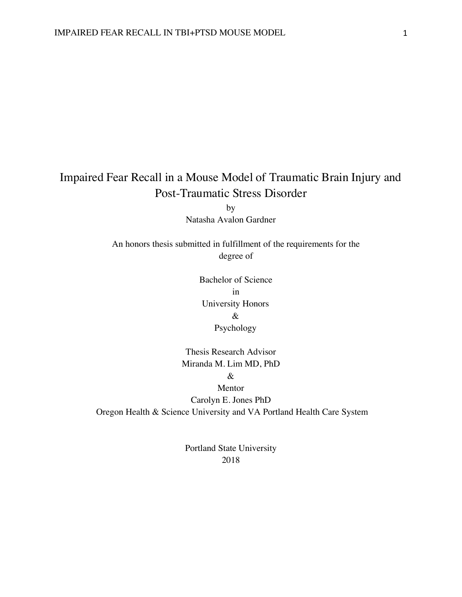# Impaired Fear Recall in a Mouse Model of Traumatic Brain Injury and Post-Traumatic Stress Disorder

by Natasha Avalon Gardner

An honors thesis submitted in fulfillment of the requirements for the degree of

> Bachelor of Science in University Honors & Psychology

Thesis Research Advisor Miranda M. Lim MD, PhD &

Mentor Carolyn E. Jones PhD Oregon Health & Science University and VA Portland Health Care System

> Portland State University 2018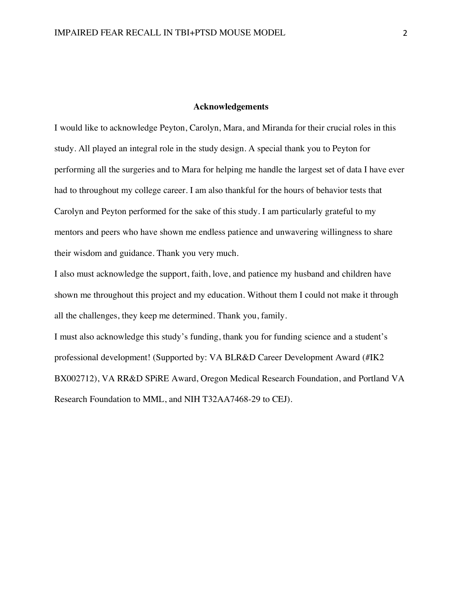#### **Acknowledgements**

I would like to acknowledge Peyton, Carolyn, Mara, and Miranda for their crucial roles in this study. All played an integral role in the study design. A special thank you to Peyton for performing all the surgeries and to Mara for helping me handle the largest set of data I have ever had to throughout my college career. I am also thankful for the hours of behavior tests that Carolyn and Peyton performed for the sake of this study. I am particularly grateful to my mentors and peers who have shown me endless patience and unwavering willingness to share their wisdom and guidance. Thank you very much.

I also must acknowledge the support, faith, love, and patience my husband and children have shown me throughout this project and my education. Without them I could not make it through all the challenges, they keep me determined. Thank you, family.

I must also acknowledge this study's funding, thank you for funding science and a student's professional development! (Supported by: VA BLR&D Career Development Award (#IK2 BX002712), VA RR&D SPiRE Award, Oregon Medical Research Foundation, and Portland VA Research Foundation to MML, and NIH T32AA7468-29 to CEJ).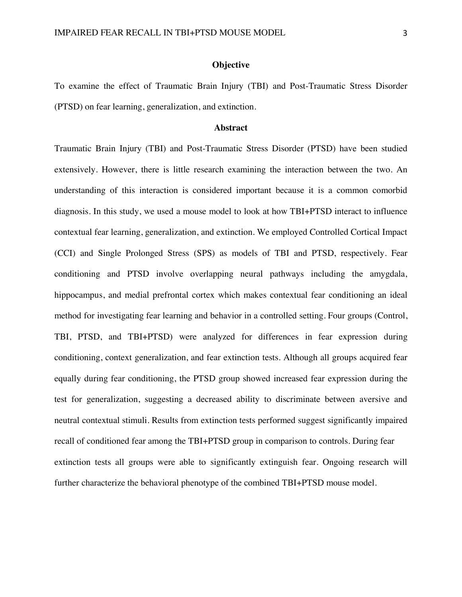#### **Objective**

To examine the effect of Traumatic Brain Injury (TBI) and Post-Traumatic Stress Disorder (PTSD) on fear learning, generalization, and extinction.

#### **Abstract**

Traumatic Brain Injury (TBI) and Post-Traumatic Stress Disorder (PTSD) have been studied extensively. However, there is little research examining the interaction between the two. An understanding of this interaction is considered important because it is a common comorbid diagnosis. In this study, we used a mouse model to look at how TBI+PTSD interact to influence contextual fear learning, generalization, and extinction. We employed Controlled Cortical Impact (CCI) and Single Prolonged Stress (SPS) as models of TBI and PTSD, respectively. Fear conditioning and PTSD involve overlapping neural pathways including the amygdala, hippocampus, and medial prefrontal cortex which makes contextual fear conditioning an ideal method for investigating fear learning and behavior in a controlled setting. Four groups (Control, TBI, PTSD, and TBI+PTSD) were analyzed for differences in fear expression during conditioning, context generalization, and fear extinction tests. Although all groups acquired fear equally during fear conditioning, the PTSD group showed increased fear expression during the test for generalization, suggesting a decreased ability to discriminate between aversive and neutral contextual stimuli. Results from extinction tests performed suggest significantly impaired recall of conditioned fear among the TBI+PTSD group in comparison to controls. During fear extinction tests all groups were able to significantly extinguish fear. Ongoing research will further characterize the behavioral phenotype of the combined TBI+PTSD mouse model.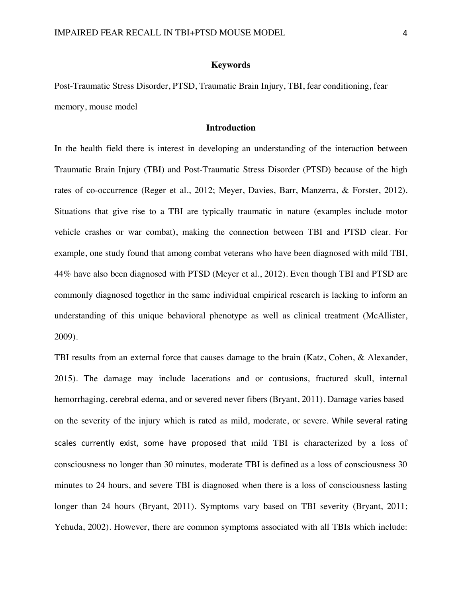#### **Keywords**

Post-Traumatic Stress Disorder, PTSD, Traumatic Brain Injury, TBI, fear conditioning, fear memory, mouse model

#### **Introduction**

In the health field there is interest in developing an understanding of the interaction between Traumatic Brain Injury (TBI) and Post-Traumatic Stress Disorder (PTSD) because of the high rates of co-occurrence (Reger et al., 2012; Meyer, Davies, Barr, Manzerra, & Forster, 2012). Situations that give rise to a TBI are typically traumatic in nature (examples include motor vehicle crashes or war combat), making the connection between TBI and PTSD clear. For example, one study found that among combat veterans who have been diagnosed with mild TBI, 44% have also been diagnosed with PTSD (Meyer et al., 2012). Even though TBI and PTSD are commonly diagnosed together in the same individual empirical research is lacking to inform an understanding of this unique behavioral phenotype as well as clinical treatment (McAllister, 2009).

TBI results from an external force that causes damage to the brain (Katz, Cohen, & Alexander, 2015). The damage may include lacerations and or contusions, fractured skull, internal hemorrhaging, cerebral edema, and or severed never fibers (Bryant, 2011). Damage varies based on the severity of the injury which is rated as mild, moderate, or severe. While several rating scales currently exist, some have proposed that mild TBI is characterized by a loss of consciousness no longer than 30 minutes, moderate TBI is defined as a loss of consciousness 30 minutes to 24 hours, and severe TBI is diagnosed when there is a loss of consciousness lasting longer than 24 hours (Bryant, 2011). Symptoms vary based on TBI severity (Bryant, 2011; Yehuda, 2002). However, there are common symptoms associated with all TBIs which include: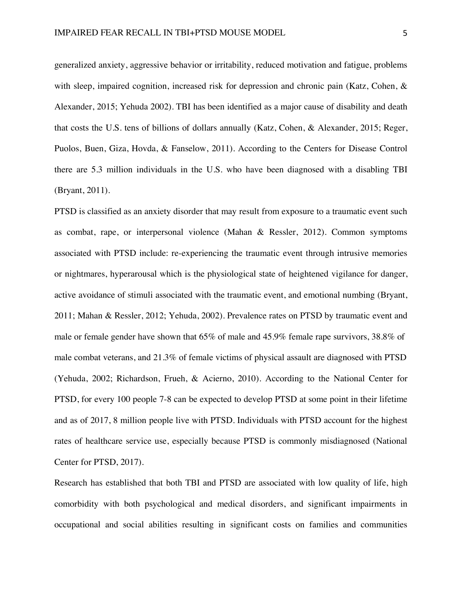generalized anxiety, aggressive behavior or irritability, reduced motivation and fatigue, problems with sleep, impaired cognition, increased risk for depression and chronic pain (Katz, Cohen, & Alexander, 2015; Yehuda 2002). TBI has been identified as a major cause of disability and death that costs the U.S. tens of billions of dollars annually (Katz, Cohen, & Alexander, 2015; Reger, Puolos, Buen, Giza, Hovda, & Fanselow, 2011). According to the Centers for Disease Control there are 5.3 million individuals in the U.S. who have been diagnosed with a disabling TBI (Bryant, 2011).

PTSD is classified as an anxiety disorder that may result from exposure to a traumatic event such as combat, rape, or interpersonal violence (Mahan & Ressler, 2012). Common symptoms associated with PTSD include: re-experiencing the traumatic event through intrusive memories or nightmares, hyperarousal which is the physiological state of heightened vigilance for danger, active avoidance of stimuli associated with the traumatic event, and emotional numbing (Bryant, 2011; Mahan & Ressler, 2012; Yehuda, 2002). Prevalence rates on PTSD by traumatic event and male or female gender have shown that 65% of male and 45.9% female rape survivors, 38.8% of male combat veterans, and 21.3% of female victims of physical assault are diagnosed with PTSD (Yehuda, 2002; Richardson, Frueh, & Acierno, 2010). According to the National Center for PTSD, for every 100 people 7-8 can be expected to develop PTSD at some point in their lifetime and as of 2017, 8 million people live with PTSD. Individuals with PTSD account for the highest rates of healthcare service use, especially because PTSD is commonly misdiagnosed (National Center for PTSD, 2017).

Research has established that both TBI and PTSD are associated with low quality of life, high comorbidity with both psychological and medical disorders, and significant impairments in occupational and social abilities resulting in significant costs on families and communities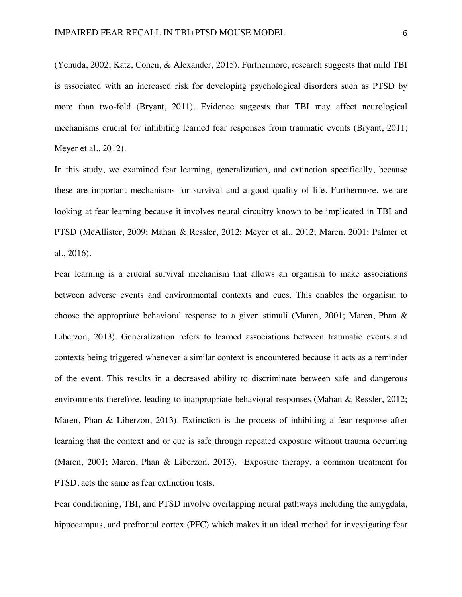(Yehuda, 2002; Katz, Cohen, & Alexander, 2015). Furthermore, research suggests that mild TBI is associated with an increased risk for developing psychological disorders such as PTSD by more than two-fold (Bryant, 2011). Evidence suggests that TBI may affect neurological mechanisms crucial for inhibiting learned fear responses from traumatic events (Bryant, 2011; Meyer et al., 2012).

In this study, we examined fear learning, generalization, and extinction specifically, because these are important mechanisms for survival and a good quality of life. Furthermore, we are looking at fear learning because it involves neural circuitry known to be implicated in TBI and PTSD (McAllister, 2009; Mahan & Ressler, 2012; Meyer et al., 2012; Maren, 2001; Palmer et al., 2016).

Fear learning is a crucial survival mechanism that allows an organism to make associations between adverse events and environmental contexts and cues. This enables the organism to choose the appropriate behavioral response to a given stimuli (Maren, 2001; Maren, Phan  $\&$ Liberzon, 2013). Generalization refers to learned associations between traumatic events and contexts being triggered whenever a similar context is encountered because it acts as a reminder of the event. This results in a decreased ability to discriminate between safe and dangerous environments therefore, leading to inappropriate behavioral responses (Mahan & Ressler, 2012; Maren, Phan & Liberzon, 2013). Extinction is the process of inhibiting a fear response after learning that the context and or cue is safe through repeated exposure without trauma occurring (Maren, 2001; Maren, Phan & Liberzon, 2013). Exposure therapy, a common treatment for PTSD, acts the same as fear extinction tests.

Fear conditioning, TBI, and PTSD involve overlapping neural pathways including the amygdala, hippocampus, and prefrontal cortex (PFC) which makes it an ideal method for investigating fear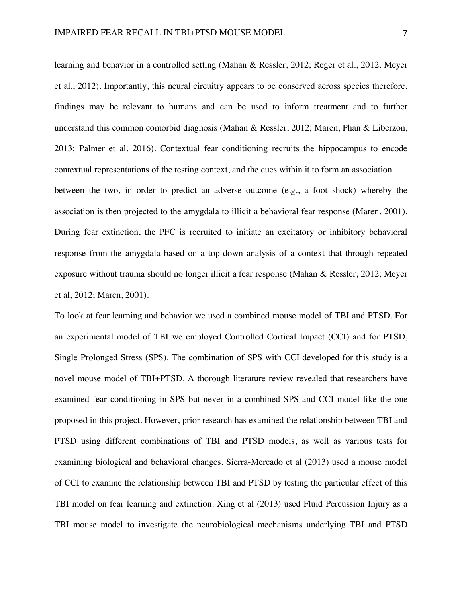learning and behavior in a controlled setting (Mahan & Ressler, 2012; Reger et al., 2012; Meyer et al., 2012). Importantly, this neural circuitry appears to be conserved across species therefore, findings may be relevant to humans and can be used to inform treatment and to further understand this common comorbid diagnosis (Mahan & Ressler, 2012; Maren, Phan & Liberzon, 2013; Palmer et al, 2016). Contextual fear conditioning recruits the hippocampus to encode contextual representations of the testing context, and the cues within it to form an association between the two, in order to predict an adverse outcome (e.g., a foot shock) whereby the association is then projected to the amygdala to illicit a behavioral fear response (Maren, 2001). During fear extinction, the PFC is recruited to initiate an excitatory or inhibitory behavioral response from the amygdala based on a top-down analysis of a context that through repeated exposure without trauma should no longer illicit a fear response (Mahan & Ressler, 2012; Meyer et al, 2012; Maren, 2001).

To look at fear learning and behavior we used a combined mouse model of TBI and PTSD. For an experimental model of TBI we employed Controlled Cortical Impact (CCI) and for PTSD, Single Prolonged Stress (SPS). The combination of SPS with CCI developed for this study is a novel mouse model of TBI+PTSD. A thorough literature review revealed that researchers have examined fear conditioning in SPS but never in a combined SPS and CCI model like the one proposed in this project. However, prior research has examined the relationship between TBI and PTSD using different combinations of TBI and PTSD models, as well as various tests for examining biological and behavioral changes. Sierra-Mercado et al (2013) used a mouse model of CCI to examine the relationship between TBI and PTSD by testing the particular effect of this TBI model on fear learning and extinction. Xing et al (2013) used Fluid Percussion Injury as a TBI mouse model to investigate the neurobiological mechanisms underlying TBI and PTSD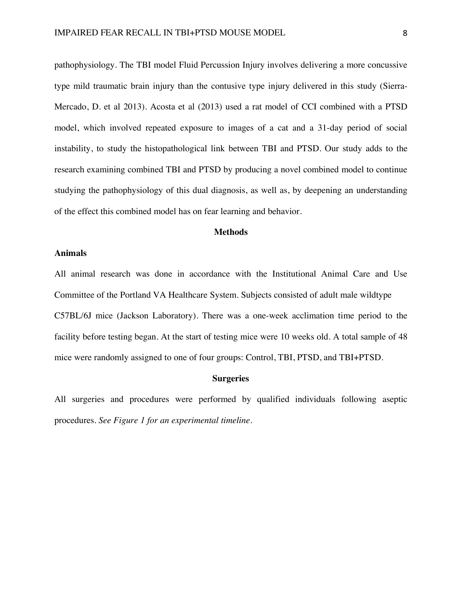pathophysiology. The TBI model Fluid Percussion Injury involves delivering a more concussive type mild traumatic brain injury than the contusive type injury delivered in this study (Sierra-Mercado, D. et al 2013). Acosta et al (2013) used a rat model of CCI combined with a PTSD model, which involved repeated exposure to images of a cat and a 31-day period of social instability, to study the histopathological link between TBI and PTSD. Our study adds to the research examining combined TBI and PTSD by producing a novel combined model to continue studying the pathophysiology of this dual diagnosis, as well as, by deepening an understanding of the effect this combined model has on fear learning and behavior.

# **Methods**

# **Animals**

All animal research was done in accordance with the Institutional Animal Care and Use Committee of the Portland VA Healthcare System. Subjects consisted of adult male wildtype C57BL/6J mice (Jackson Laboratory). There was a one-week acclimation time period to the facility before testing began. At the start of testing mice were 10 weeks old. A total sample of 48 mice were randomly assigned to one of four groups: Control, TBI, PTSD, and TBI+PTSD.

# **Surgeries**

All surgeries and procedures were performed by qualified individuals following aseptic procedures. *See Figure 1 for an experimental timeline*.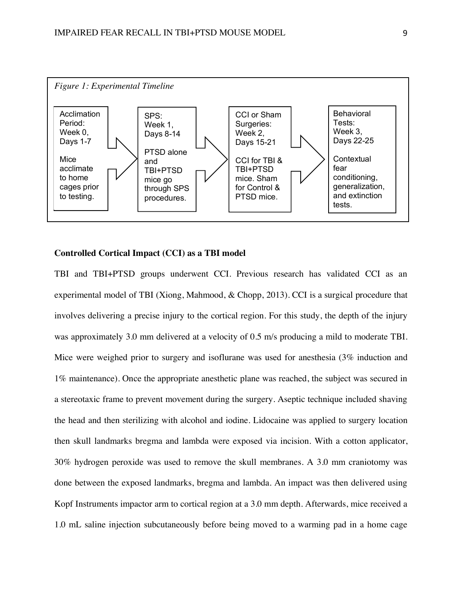

# **Controlled Cortical Impact (CCI) as a TBI model**

TBI and TBI+PTSD groups underwent CCI. Previous research has validated CCI as an experimental model of TBI (Xiong, Mahmood, & Chopp, 2013). CCI is a surgical procedure that involves delivering a precise injury to the cortical region. For this study, the depth of the injury was approximately 3.0 mm delivered at a velocity of 0.5 m/s producing a mild to moderate TBI. Mice were weighed prior to surgery and isoflurane was used for anesthesia (3% induction and 1% maintenance). Once the appropriate anesthetic plane was reached, the subject was secured in a stereotaxic frame to prevent movement during the surgery. Aseptic technique included shaving the head and then sterilizing with alcohol and iodine. Lidocaine was applied to surgery location then skull landmarks bregma and lambda were exposed via incision. With a cotton applicator, 30% hydrogen peroxide was used to remove the skull membranes. A 3.0 mm craniotomy was done between the exposed landmarks, bregma and lambda. An impact was then delivered using Kopf Instruments impactor arm to cortical region at a 3.0 mm depth. Afterwards, mice received a 1.0 mL saline injection subcutaneously before being moved to a warming pad in a home cage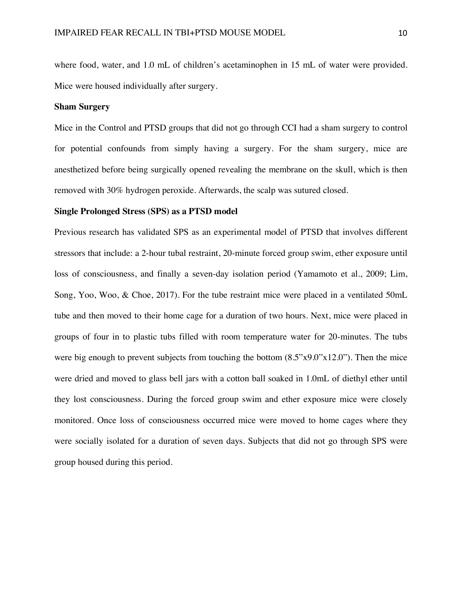where food, water, and 1.0 mL of children's acetaminophen in 15 mL of water were provided. Mice were housed individually after surgery.

#### **Sham Surgery**

Mice in the Control and PTSD groups that did not go through CCI had a sham surgery to control for potential confounds from simply having a surgery. For the sham surgery, mice are anesthetized before being surgically opened revealing the membrane on the skull, which is then removed with 30% hydrogen peroxide. Afterwards, the scalp was sutured closed.

### **Single Prolonged Stress (SPS) as a PTSD model**

Previous research has validated SPS as an experimental model of PTSD that involves different stressors that include: a 2-hour tubal restraint, 20-minute forced group swim, ether exposure until loss of consciousness, and finally a seven-day isolation period (Yamamoto et al., 2009; Lim, Song, Yoo, Woo, & Choe, 2017). For the tube restraint mice were placed in a ventilated 50mL tube and then moved to their home cage for a duration of two hours. Next, mice were placed in groups of four in to plastic tubs filled with room temperature water for 20-minutes. The tubs were big enough to prevent subjects from touching the bottom  $(8.5"x9.0"x12.0")$ . Then the mice were dried and moved to glass bell jars with a cotton ball soaked in 1.0mL of diethyl ether until they lost consciousness. During the forced group swim and ether exposure mice were closely monitored. Once loss of consciousness occurred mice were moved to home cages where they were socially isolated for a duration of seven days. Subjects that did not go through SPS were group housed during this period.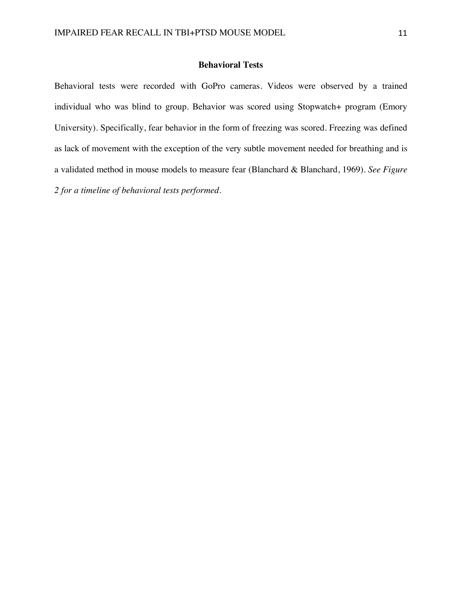# **Behavioral Tests**

Behavioral tests were recorded with GoPro cameras. Videos were observed by a trained individual who was blind to group. Behavior was scored using Stopwatch+ program (Emory University). Specifically, fear behavior in the form of freezing was scored. Freezing was defined as lack of movement with the exception of the very subtle movement needed for breathing and is a validated method in mouse models to measure fear (Blanchard & Blanchard, 1969). *See Figure 2 for a timeline of behavioral tests performed.*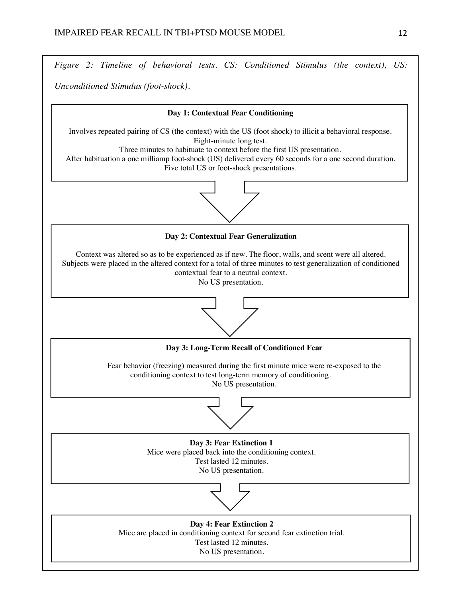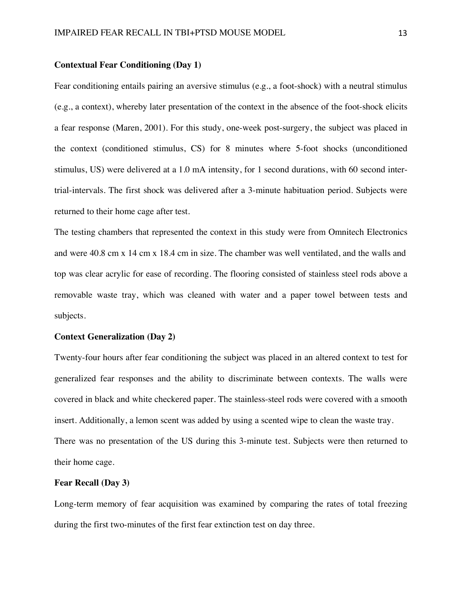#### **Contextual Fear Conditioning (Day 1)**

Fear conditioning entails pairing an aversive stimulus (e.g., a foot-shock) with a neutral stimulus (e.g., a context), whereby later presentation of the context in the absence of the foot-shock elicits a fear response (Maren, 2001). For this study, one-week post-surgery, the subject was placed in the context (conditioned stimulus, CS) for 8 minutes where 5-foot shocks (unconditioned stimulus, US) were delivered at a 1.0 mA intensity, for 1 second durations, with 60 second intertrial-intervals. The first shock was delivered after a 3-minute habituation period. Subjects were returned to their home cage after test.

The testing chambers that represented the context in this study were from Omnitech Electronics and were 40.8 cm x 14 cm x 18.4 cm in size. The chamber was well ventilated, and the walls and top was clear acrylic for ease of recording. The flooring consisted of stainless steel rods above a removable waste tray, which was cleaned with water and a paper towel between tests and subjects.

# **Context Generalization (Day 2)**

Twenty-four hours after fear conditioning the subject was placed in an altered context to test for generalized fear responses and the ability to discriminate between contexts. The walls were covered in black and white checkered paper. The stainless-steel rods were covered with a smooth insert. Additionally, a lemon scent was added by using a scented wipe to clean the waste tray. There was no presentation of the US during this 3-minute test. Subjects were then returned to their home cage.

# **Fear Recall (Day 3)**

Long-term memory of fear acquisition was examined by comparing the rates of total freezing during the first two-minutes of the first fear extinction test on day three.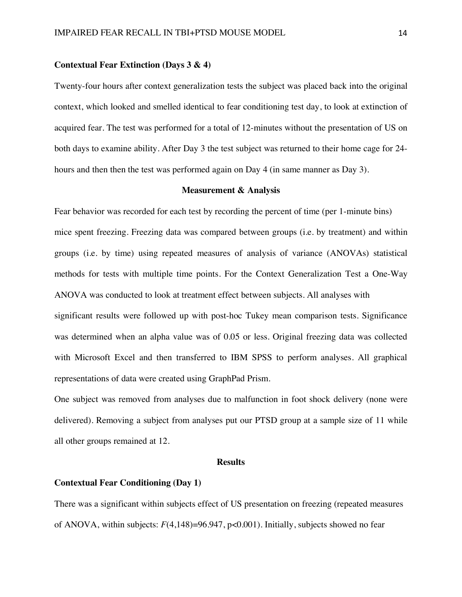# **Contextual Fear Extinction (Days 3 & 4)**

Twenty-four hours after context generalization tests the subject was placed back into the original context, which looked and smelled identical to fear conditioning test day, to look at extinction of acquired fear. The test was performed for a total of 12-minutes without the presentation of US on both days to examine ability. After Day 3 the test subject was returned to their home cage for 24 hours and then then the test was performed again on Day 4 (in same manner as Day 3).

# **Measurement & Analysis**

Fear behavior was recorded for each test by recording the percent of time (per 1-minute bins) mice spent freezing. Freezing data was compared between groups (i.e. by treatment) and within groups (i.e. by time) using repeated measures of analysis of variance (ANOVAs) statistical methods for tests with multiple time points. For the Context Generalization Test a One-Way ANOVA was conducted to look at treatment effect between subjects. All analyses with significant results were followed up with post-hoc Tukey mean comparison tests. Significance was determined when an alpha value was of 0.05 or less. Original freezing data was collected

representations of data were created using GraphPad Prism.

One subject was removed from analyses due to malfunction in foot shock delivery (none were delivered). Removing a subject from analyses put our PTSD group at a sample size of 11 while all other groups remained at 12.

with Microsoft Excel and then transferred to IBM SPSS to perform analyses. All graphical

#### **Results**

# **Contextual Fear Conditioning (Day 1)**

There was a significant within subjects effect of US presentation on freezing (repeated measures of ANOVA, within subjects: *F*(4,148)=96.947, p<0.001). Initially, subjects showed no fear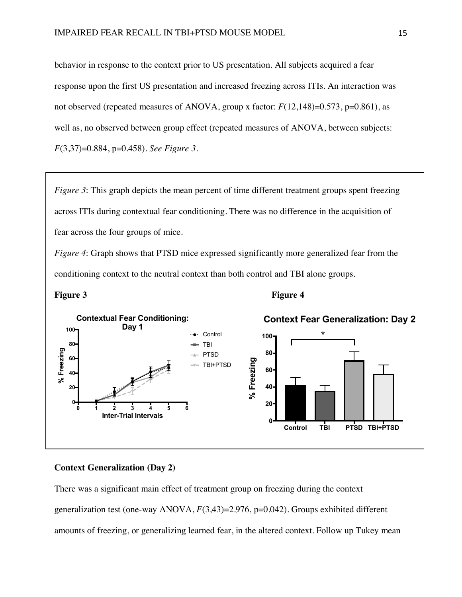behavior in response to the context prior to US presentation. All subjects acquired a fear response upon the first US presentation and increased freezing across ITIs. An interaction was not observed (repeated measures of ANOVA, group x factor:  $F(12,148)=0.573$ , p=0.861), as well as, no observed between group effect (repeated measures of ANOVA, between subjects: *F*(3,37)=0.884, p=0.458). *See Figure 3*.

*Figure 3*: This graph depicts the mean percent of time different treatment groups spent freezing across ITIs during contextual fear conditioning. There was no difference in the acquisition of fear across the four groups of mice.

*Figure 4*: Graph shows that PTSD mice expressed significantly more generalized fear from the conditioning context to the neutral context than both control and TBI alone groups.

![](_page_15_Figure_4.jpeg)

![](_page_15_Figure_6.jpeg)

# **Context Generalization (Day 2)**

There was a significant main effect of treatment group on freezing during the context generalization test (one-way ANOVA, *F*(3,43)=2.976, p=0.042). Groups exhibited different amounts of freezing, or generalizing learned fear, in the altered context. Follow up Tukey mean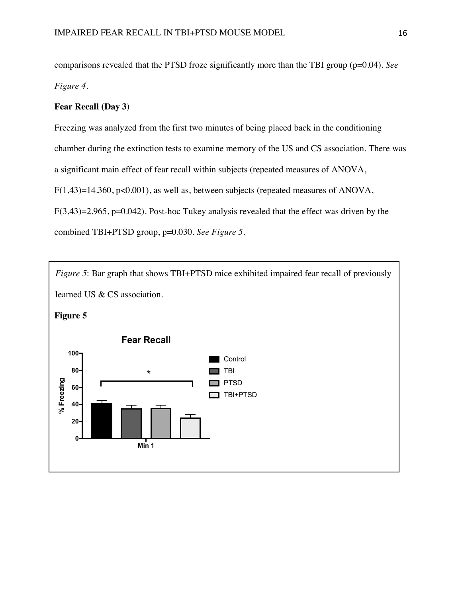comparisons revealed that the PTSD froze significantly more than the TBI group (p=0.04). *See Figure 4*.

# **Fear Recall (Day 3)**

Freezing was analyzed from the first two minutes of being placed back in the conditioning chamber during the extinction tests to examine memory of the US and CS association. There was a significant main effect of fear recall within subjects (repeated measures of ANOVA, F(1,43)=14.360, p<0.001), as well as, between subjects (repeated measures of ANOVA,  $F(3,43)=2.965$ ,  $p=0.042$ ). Post-hoc Tukey analysis revealed that the effect was driven by the combined TBI+PTSD group, p=0.030. *See Figure 5*.

![](_page_16_Figure_4.jpeg)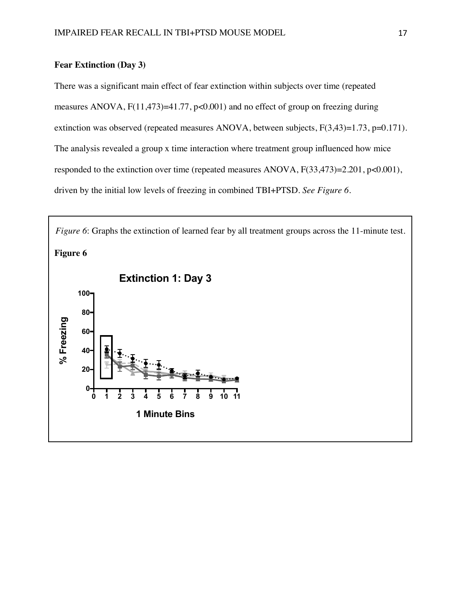# **Fear Extinction (Day 3)**

There was a significant main effect of fear extinction within subjects over time (repeated measures ANOVA, F(11,473)=41.77, p<0.001) and no effect of group on freezing during extinction was observed (repeated measures ANOVA, between subjects, F(3,43)=1.73, p=0.171). The analysis revealed a group x time interaction where treatment group influenced how mice responded to the extinction over time (repeated measures ANOVA, F(33,473)=2.201, p<0.001), driven by the initial low levels of freezing in combined TBI+PTSD. *See Figure 6*.

![](_page_17_Figure_3.jpeg)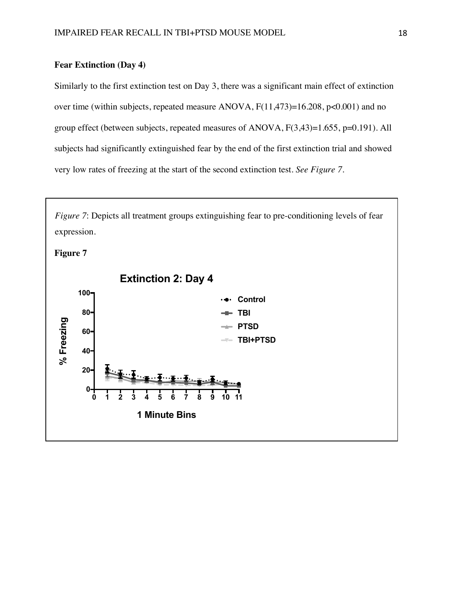# **Fear Extinction (Day 4)**

Similarly to the first extinction test on Day 3, there was a significant main effect of extinction over time (within subjects, repeated measure ANOVA, F(11,473)=16.208, p<0.001) and no group effect (between subjects, repeated measures of ANOVA, F(3,43)=1.655, p=0.191). All subjects had significantly extinguished fear by the end of the first extinction trial and showed very low rates of freezing at the start of the second extinction test. *See Figure 7*.

expression. **Figure 7 Extinction 2: Day 4 100 Control 80 TBI** % Freezing **% Freezing PTSD 60 TBI+PTSD 40 20 0 0 1 2 3 4 5 6 7 8 9 10 11 1 Minute Bins**

*Figure 7*: Depicts all treatment groups extinguishing fear to pre-conditioning levels of fear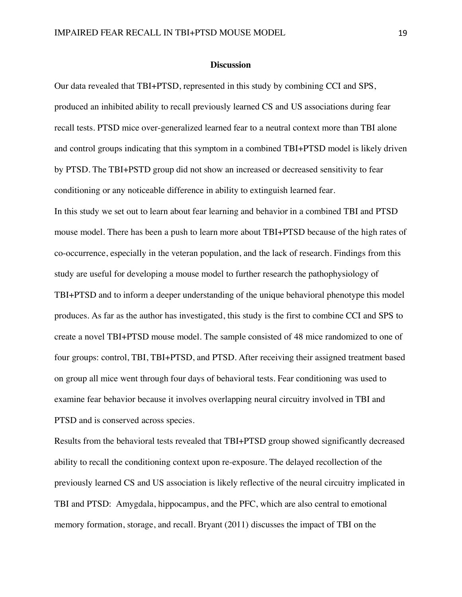#### **Discussion**

Our data revealed that TBI+PTSD, represented in this study by combining CCI and SPS, produced an inhibited ability to recall previously learned CS and US associations during fear recall tests. PTSD mice over-generalized learned fear to a neutral context more than TBI alone and control groups indicating that this symptom in a combined TBI+PTSD model is likely driven by PTSD. The TBI+PSTD group did not show an increased or decreased sensitivity to fear conditioning or any noticeable difference in ability to extinguish learned fear. In this study we set out to learn about fear learning and behavior in a combined TBI and PTSD mouse model. There has been a push to learn more about TBI+PTSD because of the high rates of co-occurrence, especially in the veteran population, and the lack of research. Findings from this study are useful for developing a mouse model to further research the pathophysiology of TBI+PTSD and to inform a deeper understanding of the unique behavioral phenotype this model produces. As far as the author has investigated, this study is the first to combine CCI and SPS to create a novel TBI+PTSD mouse model. The sample consisted of 48 mice randomized to one of four groups: control, TBI, TBI+PTSD, and PTSD. After receiving their assigned treatment based on group all mice went through four days of behavioral tests. Fear conditioning was used to examine fear behavior because it involves overlapping neural circuitry involved in TBI and PTSD and is conserved across species.

Results from the behavioral tests revealed that TBI+PTSD group showed significantly decreased ability to recall the conditioning context upon re-exposure. The delayed recollection of the previously learned CS and US association is likely reflective of the neural circuitry implicated in TBI and PTSD: Amygdala, hippocampus, and the PFC, which are also central to emotional memory formation, storage, and recall. Bryant (2011) discusses the impact of TBI on the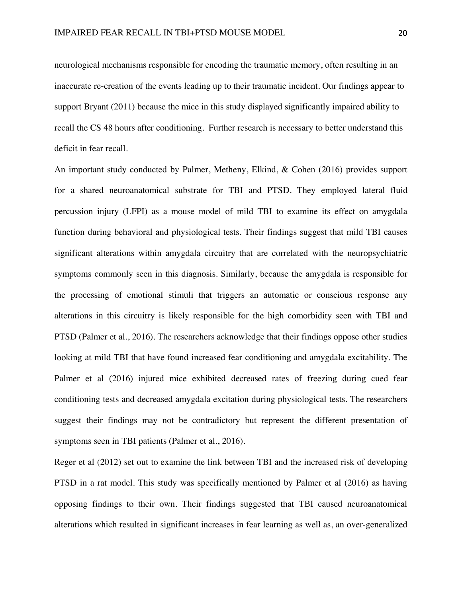neurological mechanisms responsible for encoding the traumatic memory, often resulting in an inaccurate re-creation of the events leading up to their traumatic incident. Our findings appear to support Bryant (2011) because the mice in this study displayed significantly impaired ability to recall the CS 48 hours after conditioning. Further research is necessary to better understand this deficit in fear recall.

An important study conducted by Palmer, Metheny, Elkind, & Cohen (2016) provides support for a shared neuroanatomical substrate for TBI and PTSD. They employed lateral fluid percussion injury (LFPI) as a mouse model of mild TBI to examine its effect on amygdala function during behavioral and physiological tests. Their findings suggest that mild TBI causes significant alterations within amygdala circuitry that are correlated with the neuropsychiatric symptoms commonly seen in this diagnosis. Similarly, because the amygdala is responsible for the processing of emotional stimuli that triggers an automatic or conscious response any alterations in this circuitry is likely responsible for the high comorbidity seen with TBI and PTSD (Palmer et al., 2016). The researchers acknowledge that their findings oppose other studies looking at mild TBI that have found increased fear conditioning and amygdala excitability. The Palmer et al (2016) injured mice exhibited decreased rates of freezing during cued fear conditioning tests and decreased amygdala excitation during physiological tests. The researchers suggest their findings may not be contradictory but represent the different presentation of symptoms seen in TBI patients (Palmer et al., 2016).

Reger et al (2012) set out to examine the link between TBI and the increased risk of developing PTSD in a rat model. This study was specifically mentioned by Palmer et al (2016) as having opposing findings to their own. Their findings suggested that TBI caused neuroanatomical alterations which resulted in significant increases in fear learning as well as, an over-generalized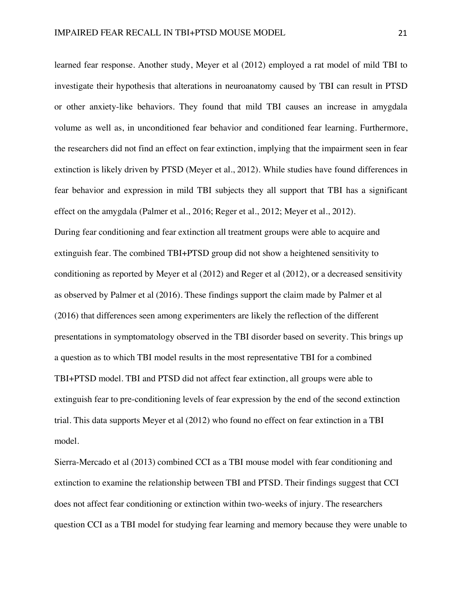learned fear response. Another study, Meyer et al (2012) employed a rat model of mild TBI to investigate their hypothesis that alterations in neuroanatomy caused by TBI can result in PTSD or other anxiety-like behaviors. They found that mild TBI causes an increase in amygdala volume as well as, in unconditioned fear behavior and conditioned fear learning. Furthermore, the researchers did not find an effect on fear extinction, implying that the impairment seen in fear extinction is likely driven by PTSD (Meyer et al., 2012). While studies have found differences in fear behavior and expression in mild TBI subjects they all support that TBI has a significant effect on the amygdala (Palmer et al., 2016; Reger et al., 2012; Meyer et al., 2012). During fear conditioning and fear extinction all treatment groups were able to acquire and extinguish fear. The combined TBI+PTSD group did not show a heightened sensitivity to conditioning as reported by Meyer et al (2012) and Reger et al (2012), or a decreased sensitivity as observed by Palmer et al (2016). These findings support the claim made by Palmer et al (2016) that differences seen among experimenters are likely the reflection of the different presentations in symptomatology observed in the TBI disorder based on severity. This brings up a question as to which TBI model results in the most representative TBI for a combined TBI+PTSD model. TBI and PTSD did not affect fear extinction, all groups were able to extinguish fear to pre-conditioning levels of fear expression by the end of the second extinction trial. This data supports Meyer et al (2012) who found no effect on fear extinction in a TBI model.

Sierra-Mercado et al (2013) combined CCI as a TBI mouse model with fear conditioning and extinction to examine the relationship between TBI and PTSD. Their findings suggest that CCI does not affect fear conditioning or extinction within two-weeks of injury. The researchers question CCI as a TBI model for studying fear learning and memory because they were unable to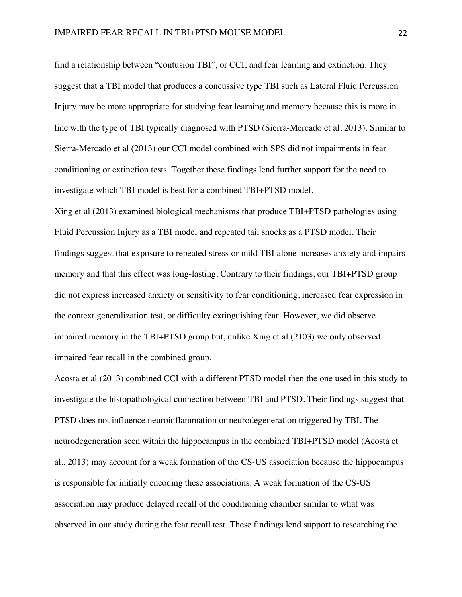find a relationship between "contusion TBI", or CCI, and fear learning and extinction. They suggest that a TBI model that produces a concussive type TBI such as Lateral Fluid Percussion Injury may be more appropriate for studying fear learning and memory because this is more in line with the type of TBI typically diagnosed with PTSD (Sierra-Mercado et al, 2013). Similar to Sierra-Mercado et al (2013) our CCI model combined with SPS did not impairments in fear conditioning or extinction tests. Together these findings lend further support for the need to investigate which TBI model is best for a combined TBI+PTSD model.

Xing et al (2013) examined biological mechanisms that produce TBI+PTSD pathologies using Fluid Percussion Injury as a TBI model and repeated tail shocks as a PTSD model. Their findings suggest that exposure to repeated stress or mild TBI alone increases anxiety and impairs memory and that this effect was long-lasting. Contrary to their findings, our TBI+PTSD group did not express increased anxiety or sensitivity to fear conditioning, increased fear expression in the context generalization test, or difficulty extinguishing fear. However, we did observe impaired memory in the TBI+PTSD group but, unlike Xing et al (2103) we only observed impaired fear recall in the combined group.

Acosta et al (2013) combined CCI with a different PTSD model then the one used in this study to investigate the histopathological connection between TBI and PTSD. Their findings suggest that PTSD does not influence neuroinflammation or neurodegeneration triggered by TBI. The neurodegeneration seen within the hippocampus in the combined TBI+PTSD model (Acosta et al., 2013) may account for a weak formation of the CS-US association because the hippocampus is responsible for initially encoding these associations. A weak formation of the CS-US association may produce delayed recall of the conditioning chamber similar to what was observed in our study during the fear recall test. These findings lend support to researching the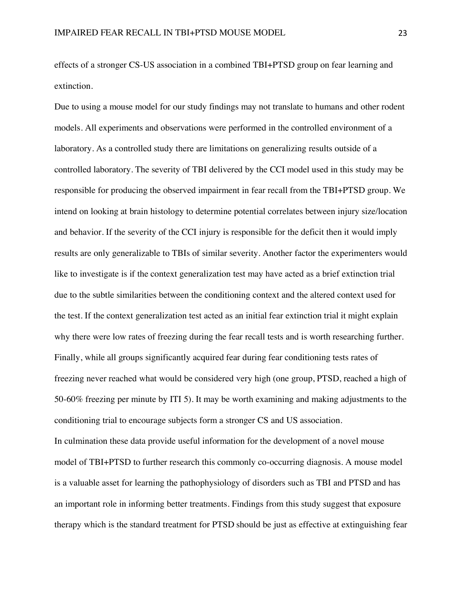effects of a stronger CS-US association in a combined TBI+PTSD group on fear learning and extinction.

Due to using a mouse model for our study findings may not translate to humans and other rodent models. All experiments and observations were performed in the controlled environment of a laboratory. As a controlled study there are limitations on generalizing results outside of a controlled laboratory. The severity of TBI delivered by the CCI model used in this study may be responsible for producing the observed impairment in fear recall from the TBI+PTSD group. We intend on looking at brain histology to determine potential correlates between injury size/location and behavior. If the severity of the CCI injury is responsible for the deficit then it would imply results are only generalizable to TBIs of similar severity. Another factor the experimenters would like to investigate is if the context generalization test may have acted as a brief extinction trial due to the subtle similarities between the conditioning context and the altered context used for the test. If the context generalization test acted as an initial fear extinction trial it might explain why there were low rates of freezing during the fear recall tests and is worth researching further. Finally, while all groups significantly acquired fear during fear conditioning tests rates of freezing never reached what would be considered very high (one group, PTSD, reached a high of 50-60% freezing per minute by ITI 5). It may be worth examining and making adjustments to the conditioning trial to encourage subjects form a stronger CS and US association. In culmination these data provide useful information for the development of a novel mouse model of TBI+PTSD to further research this commonly co-occurring diagnosis. A mouse model is a valuable asset for learning the pathophysiology of disorders such as TBI and PTSD and has an important role in informing better treatments. Findings from this study suggest that exposure therapy which is the standard treatment for PTSD should be just as effective at extinguishing fear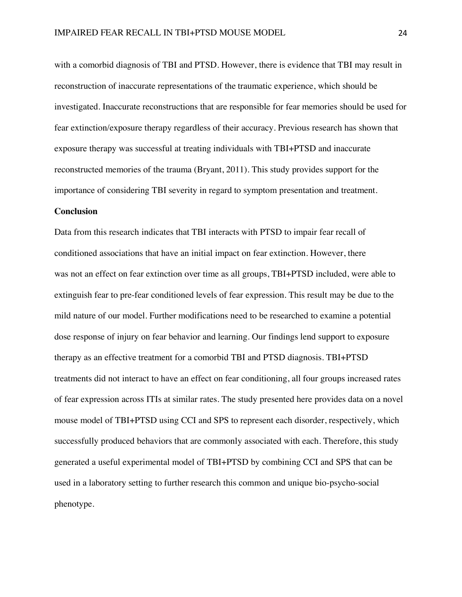with a comorbid diagnosis of TBI and PTSD. However, there is evidence that TBI may result in reconstruction of inaccurate representations of the traumatic experience, which should be investigated. Inaccurate reconstructions that are responsible for fear memories should be used for fear extinction/exposure therapy regardless of their accuracy. Previous research has shown that exposure therapy was successful at treating individuals with TBI+PTSD and inaccurate reconstructed memories of the trauma (Bryant, 2011). This study provides support for the importance of considering TBI severity in regard to symptom presentation and treatment. **Conclusion**

Data from this research indicates that TBI interacts with PTSD to impair fear recall of conditioned associations that have an initial impact on fear extinction. However, there was not an effect on fear extinction over time as all groups, TBI+PTSD included, were able to extinguish fear to pre-fear conditioned levels of fear expression. This result may be due to the mild nature of our model. Further modifications need to be researched to examine a potential dose response of injury on fear behavior and learning. Our findings lend support to exposure therapy as an effective treatment for a comorbid TBI and PTSD diagnosis. TBI+PTSD treatments did not interact to have an effect on fear conditioning, all four groups increased rates of fear expression across ITIs at similar rates. The study presented here provides data on a novel mouse model of TBI+PTSD using CCI and SPS to represent each disorder, respectively, which successfully produced behaviors that are commonly associated with each. Therefore, this study generated a useful experimental model of TBI+PTSD by combining CCI and SPS that can be used in a laboratory setting to further research this common and unique bio-psycho-social phenotype.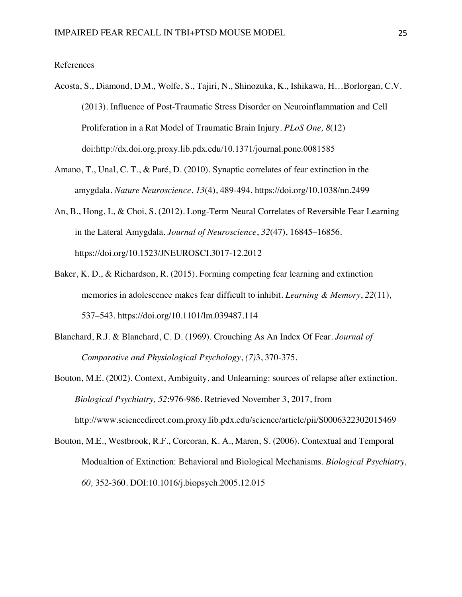#### References

- Acosta, S., Diamond, D.M., Wolfe, S., Tajiri, N., Shinozuka, K., Ishikawa, H…Borlorgan, C.V. (2013). Influence of Post-Traumatic Stress Disorder on Neuroinflammation and Cell Proliferation in a Rat Model of Traumatic Brain Injury. *PLoS One, 8*(12) doi:http://dx.doi.org.proxy.lib.pdx.edu/10.1371/journal.pone.0081585
- Amano, T., Unal, C. T., & Paré, D. (2010). Synaptic correlates of fear extinction in the amygdala. *Nature Neuroscience*, *13*(4), 489-494. https://doi.org/10.1038/nn.2499
- An, B., Hong, I., & Choi, S. (2012). Long-Term Neural Correlates of Reversible Fear Learning in the Lateral Amygdala. *Journal of Neuroscience*, *32*(47), 16845–16856. https://doi.org/10.1523/JNEUROSCI.3017-12.2012
- Baker, K. D., & Richardson, R. (2015). Forming competing fear learning and extinction memories in adolescence makes fear difficult to inhibit. *Learning & Memory*, *22*(11), 537–543. https://doi.org/10.1101/lm.039487.114
- Blanchard, R.J. & Blanchard, C. D. (1969). Crouching As An Index Of Fear. *Journal of Comparative and Physiological Psychology*, *(7)*3, 370-375.
- Bouton, M.E. (2002). Context, Ambiguity, and Unlearning: sources of relapse after extinction. *Biological Psychiatry, 52*:976-986. Retrieved November 3, 2017, from http://www.sciencedirect.com.proxy.lib.pdx.edu/science/article/pii/S0006322302015469
- Bouton, M.E., Westbrook, R.F., Corcoran, K. A., Maren, S. (2006). Contextual and Temporal Modualtion of Extinction: Behavioral and Biological Mechanisms. *Biological Psychiatry, 60,* 352-360. DOI:10.1016/j.biopsych.2005.12.015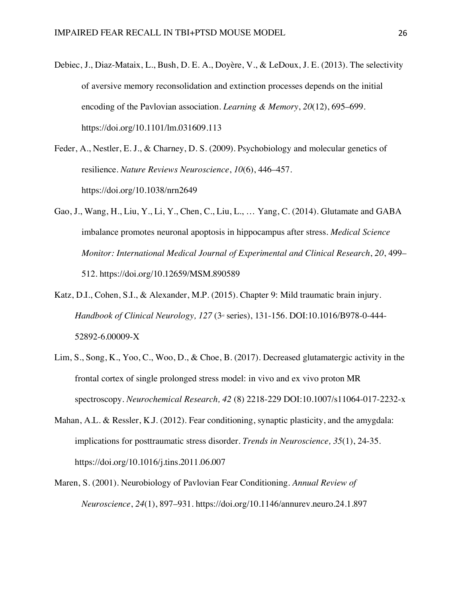- Debiec, J., Diaz-Mataix, L., Bush, D. E. A., Doyère, V., & LeDoux, J. E. (2013). The selectivity of aversive memory reconsolidation and extinction processes depends on the initial encoding of the Pavlovian association. *Learning & Memory*, *20*(12), 695–699. https://doi.org/10.1101/lm.031609.113
- Feder, A., Nestler, E. J., & Charney, D. S. (2009). Psychobiology and molecular genetics of resilience. *Nature Reviews Neuroscience*, *10*(6), 446–457. https://doi.org/10.1038/nrn2649
- Gao, J., Wang, H., Liu, Y., Li, Y., Chen, C., Liu, L., … Yang, C. (2014). Glutamate and GABA imbalance promotes neuronal apoptosis in hippocampus after stress. *Medical Science Monitor: International Medical Journal of Experimental and Clinical Research*, *20*, 499– 512. https://doi.org/10.12659/MSM.890589
- Katz, D.I., Cohen, S.I., & Alexander, M.P. (2015). Chapter 9: Mild traumatic brain injury. *Handbook of Clinical Neurology, 127 (3<sup>d</sup> series), 131-156. DOI:10.1016/B978-0-444-*52892-6.00009-X
- Lim, S., Song, K., Yoo, C., Woo, D., & Choe, B. (2017). Decreased glutamatergic activity in the frontal cortex of single prolonged stress model: in vivo and ex vivo proton MR spectroscopy. *Neurochemical Research, 42* (8) 2218-229 DOI:10.1007/s11064-017-2232-x
- Mahan, A.L. & Ressler, K.J. (2012). Fear conditioning, synaptic plasticity, and the amygdala: implications for posttraumatic stress disorder. *Trends in Neuroscience, 35*(1), 24-35. https://doi.org/10.1016/j.tins.2011.06.007
- Maren, S. (2001). Neurobiology of Pavlovian Fear Conditioning. *Annual Review of Neuroscience*, *24*(1), 897–931. https://doi.org/10.1146/annurev.neuro.24.1.897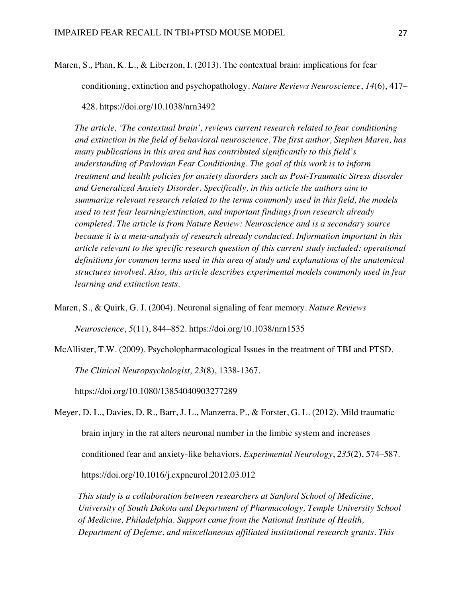Maren, S., Phan, K. L., & Liberzon, I. (2013). The contextual brain: implications for fear

conditioning, extinction and psychopathology. *Nature Reviews Neuroscience*, *14*(6), 417–

428. https://doi.org/10.1038/nrn3492

*The article, 'The contextual brain', reviews current research related to fear conditioning and extinction in the field of behavioral neuroscience. The first author, Stephen Maren, has many publications in this area and has contributed significantly to this field's understanding of Pavlovian Fear Conditioning. The goal of this work is to inform treatment and health policies for anxiety disorders such as Post-Traumatic Stress disorder and Generalized Anxiety Disorder. Specifically, in this article the authors aim to summarize relevant research related to the terms commonly used in this field, the models used to test fear learning/extinction, and important findings from research already completed. The article is from Nature Review: Neuroscience and is a secondary source because it is a meta-analysis of research already conducted. Information important in this article relevant to the specific research question of this current study included: operational definitions for common terms used in this area of study and explanations of the anatomical structures involved. Also, this article describes experimental models commonly used in fear learning and extinction tests.* 

Maren, S., & Quirk, G. J. (2004). Neuronal signaling of fear memory. *Nature Reviews* 

*Neuroscience*, *5*(11), 844–852. https://doi.org/10.1038/nrn1535

McAllister, T.W. (2009). Psycholopharmacological Issues in the treatment of TBI and PTSD.

*The Clinical Neuropsychologist, 23*(8), 1338-1367.

https://doi.org/10.1080/13854040903277289

Meyer, D. L., Davies, D. R., Barr, J. L., Manzerra, P., & Forster, G. L. (2012). Mild traumatic brain injury in the rat alters neuronal number in the limbic system and increases conditioned fear and anxiety-like behaviors. *Experimental Neurology*, *235*(2), 574–587. https://doi.org/10.1016/j.expneurol.2012.03.012

*This study is a collaboration between researchers at Sanford School of Medicine, University of South Dakota and Department of Pharmacology, Temple University School of Medicine, Philadelphia. Support came from the National Institute of Health, Department of Defense, and miscellaneous affiliated institutional research grants. This*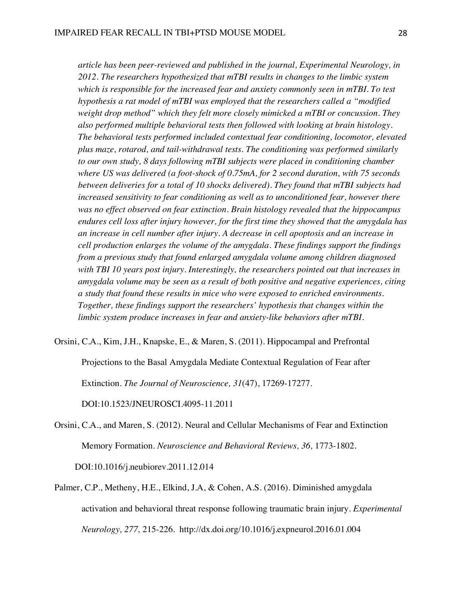*article has been peer-reviewed and published in the journal, Experimental Neurology, in 2012. The researchers hypothesized that mTBI results in changes to the limbic system which is responsible for the increased fear and anxiety commonly seen in mTBI. To test hypothesis a rat model of mTBI was employed that the researchers called a "modified weight drop method" which they felt more closely mimicked a mTBI or concussion. They also performed multiple behavioral tests then followed with looking at brain histology. The behavioral tests performed included contextual fear conditioning, locomotor, elevated plus maze, rotarod, and tail-withdrawal tests. The conditioning was performed similarly to our own study, 8 days following mTBI subjects were placed in conditioning chamber where US was delivered (a foot-shock of 0.75mA, for 2 second duration, with 75 seconds between deliveries for a total of 10 shocks delivered). They found that mTBI subjects had increased sensitivity to fear conditioning as well as to unconditioned fear, however there was no effect observed on fear extinction. Brain histology revealed that the hippocampus endures cell loss after injury however, for the first time they showed that the amygdala has an increase in cell number after injury. A decrease in cell apoptosis and an increase in cell production enlarges the volume of the amygdala. These findings support the findings from a previous study that found enlarged amygdala volume among children diagnosed with TBI 10 years post injury. Interestingly, the researchers pointed out that increases in amygdala volume may be seen as a result of both positive and negative experiences, citing a study that found these results in mice who were exposed to enriched environments. Together, these findings support the researchers' hypothesis that changes within the limbic system produce increases in fear and anxiety-like behaviors after mTBI.* 

Orsini, C.A., Kim, J.H., Knapske, E., & Maren, S. (2011). Hippocampal and Prefrontal

Projections to the Basal Amygdala Mediate Contextual Regulation of Fear after

Extinction. *The Journal of Neuroscience, 31*(47), 17269-17277.

DOI:10.1523/JNEUROSCI.4095-11.2011

- Orsini, C.A., and Maren, S. (2012). Neural and Cellular Mechanisms of Fear and Extinction Memory Formation. *Neuroscience and Behavioral Reviews, 36,* 1773-1802. DOI:10.1016/j.neubiorev.2011.12.014
- Palmer, C.P., Metheny, H.E., Elkind, J.A, & Cohen, A.S. (2016). Diminished amygdala activation and behavioral threat response following traumatic brain injury. *Experimental Neurology, 277,* 215-226. http://dx.doi.org/10.1016/j.expneurol.2016.01.004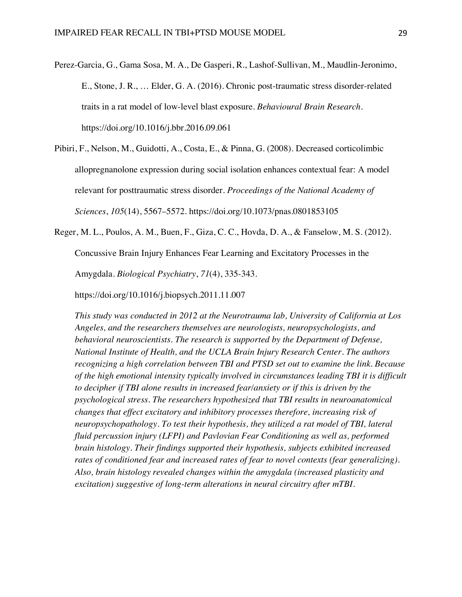Perez-Garcia, G., Gama Sosa, M. A., De Gasperi, R., Lashof-Sullivan, M., Maudlin-Jeronimo, E., Stone, J. R., … Elder, G. A. (2016). Chronic post-traumatic stress disorder-related traits in a rat model of low-level blast exposure. *Behavioural Brain Research*. https://doi.org/10.1016/j.bbr.2016.09.061

Pibiri, F., Nelson, M., Guidotti, A., Costa, E., & Pinna, G. (2008). Decreased corticolimbic allopregnanolone expression during social isolation enhances contextual fear: A model relevant for posttraumatic stress disorder. *Proceedings of the National Academy of Sciences*, *105*(14), 5567–5572. https://doi.org/10.1073/pnas.0801853105

Reger, M. L., Poulos, A. M., Buen, F., Giza, C. C., Hovda, D. A., & Fanselow, M. S. (2012).

Concussive Brain Injury Enhances Fear Learning and Excitatory Processes in the

Amygdala. *Biological Psychiatry*, *71*(4), 335-343.

https://doi.org/10.1016/j.biopsych.2011.11.007

*This study was conducted in 2012 at the Neurotrauma lab, University of California at Los Angeles, and the researchers themselves are neurologists, neuropsychologists, and behavioral neuroscientists. The research is supported by the Department of Defense, National Institute of Health, and the UCLA Brain Injury Research Center. The authors recognizing a high correlation between TBI and PTSD set out to examine the link. Because of the high emotional intensity typically involved in circumstances leading TBI it is difficult to decipher if TBI alone results in increased fear/anxiety or if this is driven by the psychological stress. The researchers hypothesized that TBI results in neuroanatomical changes that effect excitatory and inhibitory processes therefore, increasing risk of neuropsychopathology. To test their hypothesis, they utilized a rat model of TBI, lateral fluid percussion injury (LFPI) and Pavlovian Fear Conditioning as well as, performed brain histology. Their findings supported their hypothesis, subjects exhibited increased rates of conditioned fear and increased rates of fear to novel contexts (fear generalizing). Also, brain histology revealed changes within the amygdala (increased plasticity and excitation) suggestive of long-term alterations in neural circuitry after mTBI.*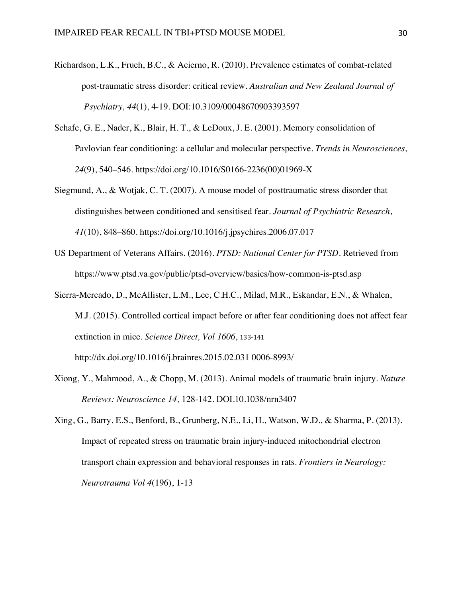- Richardson, L.K., Frueh, B.C., & Acierno, R. (2010). Prevalence estimates of combat-related post-traumatic stress disorder: critical review. *Australian and New Zealand Journal of Psychiatry, 44*(1), 4-19. DOI:10.3109/00048670903393597
- Schafe, G. E., Nader, K., Blair, H. T., & LeDoux, J. E. (2001). Memory consolidation of Pavlovian fear conditioning: a cellular and molecular perspective. *Trends in Neurosciences*, *24*(9), 540–546. https://doi.org/10.1016/S0166-2236(00)01969-X
- Siegmund, A., & Wotjak, C. T. (2007). A mouse model of posttraumatic stress disorder that distinguishes between conditioned and sensitised fear. *Journal of Psychiatric Research*, *41*(10), 848–860. https://doi.org/10.1016/j.jpsychires.2006.07.017
- US Department of Veterans Affairs. (2016). *PTSD: National Center for PTSD*. Retrieved from https://www.ptsd.va.gov/public/ptsd-overview/basics/how-common-is-ptsd.asp
- Sierra-Mercado, D., McAllister, L.M., Lee, C.H.C., Milad, M.R., Eskandar, E.N., & Whalen, M.J. (2015). Controlled cortical impact before or after fear conditioning does not affect fear extinction in mice. *Science Direct, Vol 1606*, 133-141 http://dx.doi.org/10.1016/j.brainres.2015.02.031 0006-8993/
- Xiong, Y., Mahmood, A., & Chopp, M. (2013). Animal models of traumatic brain injury. *Nature Reviews: Neuroscience 14,* 128-142. DOI.10.1038/nrn3407
- Xing, G., Barry, E.S., Benford, B., Grunberg, N.E., Li, H., Watson, W.D., & Sharma, P. (2013). Impact of repeated stress on traumatic brain injury-induced mitochondrial electron transport chain expression and behavioral responses in rats. *Frontiers in Neurology: Neurotrauma Vol 4*(196), 1-13